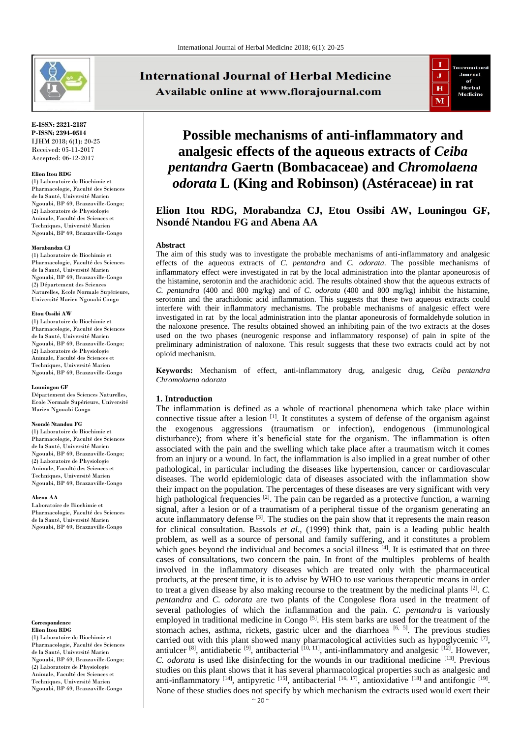

**E-ISSN: 2321-2187 P-ISSN: 2394-0514** IJHM 2018; 6(1): 20-25 Received: 05-11-2017 Accepted: 06-12-2017

#### **Elion Itou RDG**

(1) Laboratoire de Biochimie et Pharmacologie, Faculté des Sciences de la Santé, Université Marien Ngouabi, BP 69, Brazzaville-Congo; (2) Laboratoire de Physiologie Animale, Faculté des Sciences et Techniques, Université Marien Ngouabi, BP 69, Brazzaville-Congo

#### **Morabandza CJ**

(1) Laboratoire de Biochimie et Pharmacologie, Faculté des Sciences de la Santé, Université Marien Ngouabi, BP 69, Brazzaville-Congo (2) Département des Sciences Naturelles, Ecole Normale Supérieure, Université Marien Ngouabi Congo

#### **Etou Ossibi AW**

(1) Laboratoire de Biochimie et Pharmacologie, Faculté des Sciences de la Santé, Université Marien Ngouabi, BP 69, Brazzaville-Congo; (2) Laboratoire de Physiologie Animale, Faculté des Sciences et Techniques, Université Marien Ngouabi, BP 69, Brazzaville-Congo

#### **Louningou GF**

Département des Sciences Naturelles, Ecole Normale Supérieure, Université Marien Ngouabi Congo

#### **Nsondé Ntandou FG**

(1) Laboratoire de Biochimie et Pharmacologie, Faculté des Sciences de la Santé, Université Marien Ngouabi, BP 69, Brazzaville-Congo; (2) Laboratoire de Physiologie Animale, Faculté des Sciences et Techniques, Université Marien Ngouabi, BP 69, Brazzaville-Congo

#### **Abena AA**

Laboratoire de Biochimie et Pharmacologie, Faculté des Sciences de la Santé, Université Marien Ngouabi, BP 69, Brazzaville-Congo

#### **Correspondence Elion Itou RDG**

(1) Laboratoire de Biochimie et Pharmacologie, Faculté des Sciences de la Santé, Université Marien Ngouabi, BP 69, Brazzaville-Congo; (2) Laboratoire de Physiologie Animale, Faculté des Sciences et Techniques, Université Marien Ngouabi, BP 69, Brazzaville-Congo

# **International Journal of Herbal Medicine** Available online at www.florajournal.com



# **Possible mechanisms of anti-inflammatory and analgesic effects of the aqueous extracts of** *Ceiba pentandra* **Gaertn (Bombacaceae) and** *Chromolaena odorata* **L (King and Robinson) (Astéraceae) in rat**

## **Elion Itou RDG, Morabandza CJ, Etou Ossibi AW, Louningou GF, Nsondé Ntandou FG and Abena AA**

#### **Abstract**

The aim of this study was to investigate the probable mechanisms of anti-inflammatory and analgesic effects of the aqueous extracts of *C. pentandra* and *C. odorata*. The possible mechanisms of inflammatory effect were investigated in rat by the local administration into the plantar aponeurosis of the histamine, serotonin and the arachidonic acid. The results obtained show that the aqueous extracts of *C. pentandra* (400 and 800 mg/kg) and of *C. odorata* (400 and 800 mg/kg) inhibit the histamine, serotonin and the arachidonic acid inflammation. This suggests that these two aqueous extracts could interfere with their inflammatory mechanisms. The probable mechanisms of analgesic effect were investigated in rat by the local administration into the plantar aponeurosis of formaldehyde solution in the naloxone presence. The results obtained showed an inhibiting pain of the two extracts at the doses used on the two phases (neurogenic response and inflammatory response) of pain in spite of the preliminary administration of naloxone. This result suggests that these two extracts could act by not opioid mechanism.

**Keywords:** Mechanism of effect, anti-inflammatory drug, analgesic drug, *Ceiba pentandra Chromolaena odorata*

## **1. Introduction**

The inflammation is defined as a whole of reactional phenomena which take place within connective tissue after a lesion  $\left[1\right]$ . It constitutes a system of defense of the organism against the exogenous aggressions (traumatism or infection), endogenous (immunological disturbance); from where it's beneficial state for the organism. The inflammation is often associated with the pain and the swelling which take place after a traumatism witch it comes from an injury or a wound. In fact, the inflammation is also implied in a great number of other pathological, in particular including the diseases like hypertension, cancer or cardiovascular diseases. The world epidemiologic data of diseases associated with the inflammation show their impact on the population. The percentages of these diseases are very significant with very high pathological frequencies  $[2]$ . The pain can be regarded as a protective function, a warning signal, after a lesion or of a traumatism of a peripheral tissue of the organism generating an acute inflammatory defense  $[3]$ . The studies on the pain show that it represents the main reason for clinical consultation. Bassols *et al.*, (1999) think that, pain is a leading public health problem, as well as a source of personal and family suffering, and it constitutes a problem which goes beyond the individual and becomes a social illness  $[4]$ . It is estimated that on three cases of consultations, two concern the pain. In front of the multiples problems of health involved in the inflammatory diseases which are treated only with the pharmaceutical products, at the present time, it is to advise by WHO to use various therapeutic means in order to treat a given disease by also making recourse to the treatment by the medicinal plants [2] . *C. pentandra* and *C. odorata* are two plants of the Congolese flora used in the treatment of several pathologies of which the inflammation and the pain. *C. pentandra* is variously employed in traditional medicine in Congo<sup>[5]</sup>. His stem barks are used for the treatment of the stomach aches, asthma, rickets, gastric ulcer and the diarrhoea  $[6, 5]$ . The previous studies carried out with this plant showed many pharmacological activities such as hypoglycemic  $[7]$ , antiulcer  $^{[8]}$ , antidiabetic  $^{[9]}$ , antibacterial  $^{[10, 11]}$ , anti-inflammatory and analgesic  $^{[12]}$ . However, *C. odorata* is used like disinfecting for the wounds in our traditional medicine [13] . Previous studies on this plant shows that it has several pharmacological properties such as analgesic and anti-inflammatory  $[14]$ , antipyretic  $[15]$ , antibacterial  $[16, 17]$ , antioxidative  $[18]$  and antifongic  $[19]$ . None of these studies does not specify by which mechanism the extracts used would exert their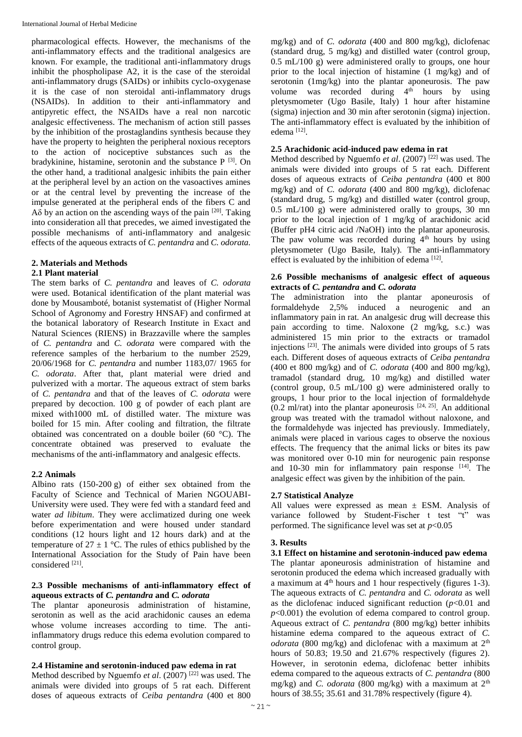pharmacological effects. However, the mechanisms of the anti-inflammatory effects and the traditional analgesics are known. For example, the traditional anti-inflammatory drugs inhibit the phospholipase A2, it is the case of the steroidal anti-inflammatory drugs (SAIDs) or inhibits cyclo-oxygenase it is the case of non steroidal anti-inflammatory drugs (NSAIDs). In addition to their anti-inflammatory and antipyretic effect, the NSAIDs have a real non narcotic analgesic effectiveness. The mechanism of action still passes by the inhibition of the prostaglandins synthesis because they have the property to heighten the peripheral noxious receptors to the action of nociceptive substances such as the bradykinine, histamine, serotonin and the substance P <a>[3]</a>. On the other hand, a traditional analgesic inhibits the pain either at the peripheral level by an action on the vasoactives amines or at the central level by preventing the increase of the impulse generated at the peripheral ends of the fibers C and A $\delta$  by an action on the ascending ways of the pain  $[20]$ . Taking into consideration all that precedes, we aimed investigated the possible mechanisms of anti-inflammatory and analgesic effects of the aqueous extracts of *C. pentandra* and *C. odorata.*

## **2. Materials and Methods**

#### **2.1 Plant material**

The stem barks of *C. pentandra* and leaves of *C. odorata*  were used. Botanical identification of the plant material was done by Mousamboté, botanist systematist of (Higher Normal School of Agronomy and Forestry HNSAF) and confirmed at the botanical laboratory of Research Institute in Exact and Natural Sciences (RIENS) in Brazzaville where the samples of *C. pentandra* and *C. odorata* were compared with the reference samples of the herbarium to the number 2529, 20/06/1968 for *C. pentandra* and number 1183,07/ 1965 for *C. odorata*. After that, plant material were dried and pulverized with a mortar. The aqueous extract of stem barks of *C. pentandra* and that of the leaves of *C. odorata* were prepared by decoction. 100 g of powder of each plant are mixed with1000 mL of distilled water. The mixture was boiled for 15 min. After cooling and filtration, the filtrate obtained was concentrated on a double boiler (60 °C). The concentrate obtained was preserved to evaluate the mechanisms of the anti-inflammatory and analgesic effects.

## **2.2 Animals**

Albino rats (150-200 g) of either sex obtained from the Faculty of Science and Technical of Marien NGOUABI-University were used. They were fed with a standard feed and water *ad libitum*. They were acclimatized during one week before experimentation and were housed under standard conditions (12 hours light and 12 hours dark) and at the temperature of  $27 \pm 1$  °C. The rules of ethics published by the International Association for the Study of Pain have been considered [21].

#### **2.3 Possible mechanisms of anti-inflammatory effect of aqueous extracts of** *C. pentandra* **and** *C. odorata*

The plantar aponeurosis administration of histamine, serotonin as well as the acid arachidonic causes an edema whose volume increases according to time. The antiinflammatory drugs reduce this edema evolution compared to control group.

## **2.4 Histamine and serotonin-induced paw edema in rat**

Method described by Nguemfo *et al.* (2007)<sup>[22]</sup> was used. The animals were divided into groups of 5 rat each. Different doses of aqueous extracts of *Ceiba pentandra* (400 et 800 mg/kg) and of *C. odorata* (400 and 800 mg/kg), diclofenac (standard drug, 5 mg/kg) and distilled water (control group,  $0.5$  mL/100 g) were administered orally to groups, one hour prior to the local injection of histamine (1 mg/kg) and of serotonin (1mg/kg) into the plantar aponeurosis. The paw volume was recorded during  $4<sup>th</sup>$  hours by using pletysmometer (Ugo Basile, Italy) 1 hour after histamine (sigma) injection and 30 min after serotonin (sigma) injection. The anti-inflammatory effect is evaluated by the inhibition of edema [12].

## **2.5 Arachidonic acid-induced paw edema in rat**

Method described by Nguemfo *et al*. (2007) [22] was used. The animals were divided into groups of 5 rat each. Different doses of aqueous extracts of *Ceiba pentandra* (400 et 800 mg/kg) and of *C. odorata* (400 and 800 mg/kg), diclofenac (standard drug, 5 mg/kg) and distilled water (control group, 0.5 mL/100 g) were administered orally to groups, 30 mn prior to the local injection of 1 mg/kg of arachidonic acid (Buffer pH4 citric acid /NaOH) into the plantar aponeurosis. The paw volume was recorded during  $4<sup>th</sup>$  hours by using pletysmometer (Ugo Basile, Italy). The anti-inflammatory effect is evaluated by the inhibition of edema<sup>[12]</sup>.

## **2.6 Possible mechanisms of analgesic effect of aqueous extracts of** *C. pentandra* **and** *C. odorata*

The administration into the plantar aponeurosis of formaldehyde 2,5% induced a neurogenic and an inflammatory pain in rat. An analgesic drug will decrease this pain according to time. Naloxone (2 mg/kg, s.c.) was administered 15 min prior to the extracts or tramadol injections [23]. The animals were divided into groups of 5 rats each. Different doses of aqueous extracts of *Ceiba pentandra* (400 et 800 mg/kg) and of *C. odorata* (400 and 800 mg/kg), tramadol (standard drug, 10 mg/kg) and distilled water (control group, 0.5 mL/100 g) were administered orally to groups, 1 hour prior to the local injection of formaldehyde  $(0.2 \text{ ml/rat})$  into the plantar aponeurosis  $[24, 25]$ . An additional group was treated with the tramadol without naloxone, and the formaldehyde was injected has previously. Immediately, animals were placed in various cages to observe the noxious effects. The frequency that the animal licks or bites its paw was monitored over 0-10 min for neurogenic pain response and  $10-30$  min for inflammatory pain response  $[14]$ . The analgesic effect was given by the inhibition of the pain.

## **2.7 Statistical Analyze**

All values were expressed as mean  $\pm$  ESM. Analysis of variance followed by Student-Fischer t test "t" was performed. The significance level was set at  $p<0.05$ 

#### **3. Results**

**3.1 Effect on histamine and serotonin-induced paw edema** The plantar aponeurosis administration of histamine and serotonin produced the edema which increased gradually with a maximum at 4th hours and 1 hour respectively (figures 1-3). The aqueous extracts of *C. pentandra* and *C. odorata* as well as the diclofenac induced significant reduction  $(p<0.01$  and *p*<0.001) the evolution of edema compared to control group. Aqueous extract of *C. pentandra* (800 mg/kg) better inhibits histamine edema compared to the aqueous extract of *C. odorata* (800 mg/kg) and diclofenac with a maximum at 2<sup>th</sup> hours of 50.83; 19.50 and 21.67% respectively (figures 2). However, in serotonin edema, diclofenac better inhibits edema compared to the aqueous extracts of *C. pentandra* (800 mg/kg) and *C. odorata* (800 mg/kg) with a maximum at 2th hours of 38.55; 35.61 and 31.78% respectively (figure 4).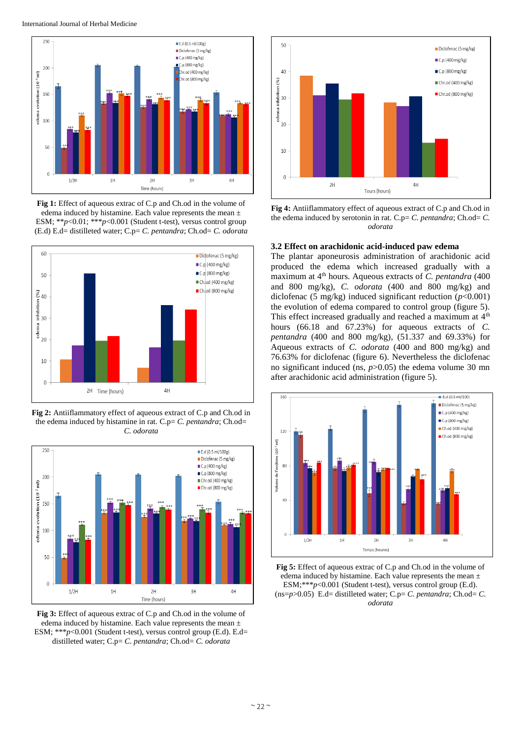

**Fig 1:** Effect of aqueous extrac of C.p and Ch.od in the volume of edema induced by histamine. Each value represents the mean  $\pm$ ESM; \*\**p*<0.01; \*\*\**p*<0.001 (Student t-test), versus control group (E.d) E.d= distilleted water; C.p= *C. pentandra*; Ch.od= *C. odorata*



**Fig 2:** Antiiflammatory effect of aqueous extract of C.p and Ch.od in the edema induced by histamine in rat. C.p= *C. pentandra*; Ch.od= *C. odorata*



**Fig 3:** Effect of aqueous extrac of C.p and Ch.od in the volume of edema induced by histamine. Each value represents the mean  $\pm$ ESM; \*\*\**p*<0.001 (Student t-test), versus control group (E.d). E.d= distilleted water; C.p= *C. pentandra*; Ch.od= *C. odorata*



**Fig 4:** Antiiflammatory effect of aqueous extract of C.p and Ch.od in the edema induced by serotonin in rat. C.p= *C. pentandra*; Ch.od= *C. odorata*

## **3.2 Effect on arachidonic acid-induced paw edema**

The plantar aponeurosis administration of arachidonic acid produced the edema which increased gradually with a maximum at 4<sup>th</sup> hours. Aqueous extracts of *C. pentandra* (400) and 800 mg/kg), *C. odorata* (400 and 800 mg/kg) and diclofenac (5 mg/kg) induced significant reduction (*p*<0.001) the evolution of edema compared to control group (figure 5). This effect increased gradually and reached a maximum at  $4<sup>th</sup>$ hours (66.18 and 67.23%) for aqueous extracts of *C. pentandra* (400 and 800 mg/kg)*,* (51.337 and 69.33%) for Aqueous extracts of *C. odorata* (400 and 800 mg/kg) and 76.63% for diclofenac (figure 6). Nevertheless the diclofenac no significant induced (ns, *p*>0.05) the edema volume 30 mn after arachidonic acid administration (figure 5).



**Fig 5:** Effect of aqueous extrac of C.p and Ch.od in the volume of edema induced by histamine. Each value represents the mean ± ESM;\*\*\**p*<0.001 (Student t-test), versus control group (E.d). (ns=*p*>0.05) E.d= distilleted water; C.p= *C. pentandra*; Ch.od= *C. odorata*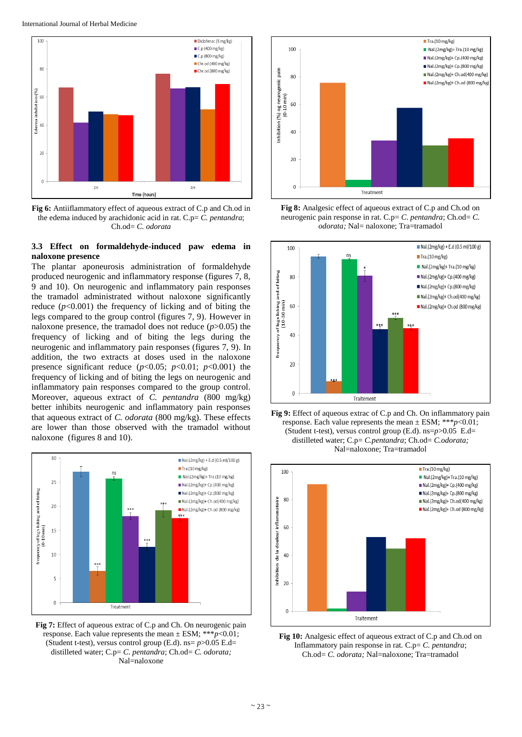

**Fig 6:** Antiiflammatory effect of aqueous extract of C.p and Ch.od in the edema induced by arachidonic acid in rat. C.p= *C. pentandra*; Ch.od= *C. odorata*

## **3.3 Effect on formaldehyde-induced paw edema in naloxone presence**

The plantar aponeurosis administration of formaldehyde produced neurogenic and inflammatory response (figures 7, 8, 9 and 10). On neurogenic and inflammatory pain responses the tramadol administrated without naloxone significantly reduce  $(p<0.001)$  the frequency of licking and of biting the legs compared to the group control (figures 7, 9). However in naloxone presence, the tramadol does not reduce (*p*>0.05) the frequency of licking and of biting the legs during the neurogenic and inflammatory pain responses (figures 7, 9). In addition, the two extracts at doses used in the naloxone presence significant reduce  $(p<0.05; p<0.01; p<0.001)$  the frequency of licking and of biting the legs on neurogenic and inflammatory pain responses compared to the group control. Moreover, aqueous extract of *C. pentandra* (800 mg/kg) better inhibits neurogenic and inflammatory pain responses that aqueous extract of *C. odorata* (800 mg/kg). These effects are lower than those observed with the tramadol without naloxone (figures 8 and 10).



**Fig 7:** Effect of aqueous extrac of C.p and Ch. On neurogenic pain response. Each value represents the mean  $\pm$  ESM; \*\*\* $p$ <0.01; (Student t-test), versus control group (E.d). ns= *p*>0.05 E.d= distilleted water; C.p= *C. pentandra*; Ch.od= *C. odorata;* Nal=naloxone



**Fig 8:** Analgesic effect of aqueous extract of C.p and Ch.od on neurogenic pain response in rat. C.p= *C. pentandra*; Ch.od= *C. odorata;* Nal= naloxone; Tra=tramadol







**Fig 10:** Analgesic effect of aqueous extract of C.p and Ch.od on Inflammatory pain response in rat. C.p= *C. pentandra*; Ch.od= *C. odorata;* Nal=naloxone; Tra=tramadol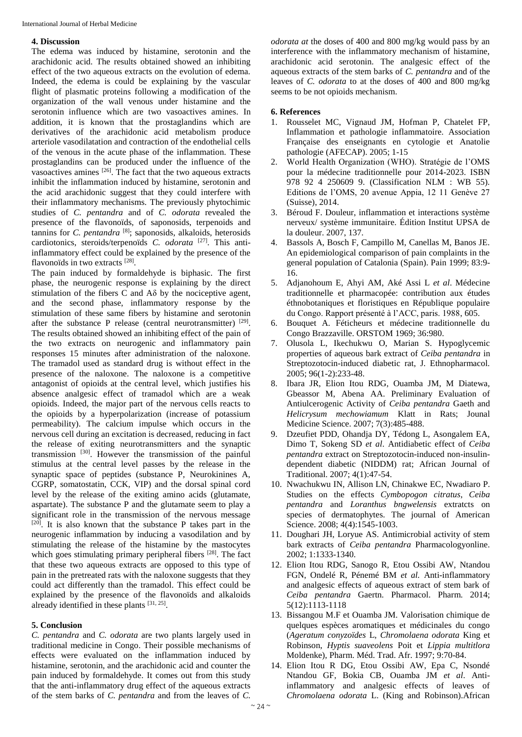#### **4. Discussion**

The edema was induced by histamine, serotonin and the arachidonic acid. The results obtained showed an inhibiting effect of the two aqueous extracts on the evolution of edema. Indeed, the edema is could be explaining by the vascular flight of plasmatic proteins following a modification of the organization of the wall venous under histamine and the serotonin influence which are two vasoactives amines. In addition, it is known that the prostaglandins which are derivatives of the arachidonic acid metabolism produce arteriole vasodilatation and contraction of the endothelial cells of the venous in the acute phase of the inflammation. These prostaglandins can be produced under the influence of the vasoactives amines  $[26]$ . The fact that the two aqueous extracts inhibit the inflammation induced by histamine, serotonin and the acid arachidonic suggest that they could interfere with their inflammatory mechanisms. The previously phytochimic studies of *C. pentandra* and of *C. odorata* revealed the presence of the flavonoïds, of saponosids, terpenoids and tannins for *C. pentandra* [8]; saponosids, alkaloids, heterosids cardiotonics, steroids/terpenoïds *C. odorata* [27] . This antiinflammatory effect could be explained by the presence of the flavonoïds in two extracts [28].

The pain induced by formaldehyde is biphasic. The first phase, the neurogenic response is explaining by the direct stimulation of the fibers C and Aδ by the nociceptive agent, and the second phase, inflammatory response by the stimulation of these same fibers by histamine and serotonin after the substance P release (central neurotransmitter) [29]. The results obtained showed an inhibiting effect of the pain of the two extracts on neurogenic and inflammatory pain responses 15 minutes after administration of the naloxone. The tramadol used as standard drug is without effect in the presence of the naloxone. The naloxone is a competitive antagonist of opioids at the central level, which justifies his absence analgesic effect of tramadol which are a weak opioids. Indeed, the major part of the nervous cells reacts to the opioids by a hyperpolarization (increase of potassium permeability). The calcium impulse which occurs in the nervous cell during an excitation is decreased, reducing in fact the release of exiting neurotransmitters and the synaptic transmission <sup>[30]</sup>. However the transmission of the painful stimulus at the central level passes by the release in the synaptic space of peptides (substance P, Neurokinines A, CGRP, somatostatin, CCK, VIP) and the dorsal spinal cord level by the release of the exiting amino acids (glutamate, aspartate). The substance P and the glutamate seem to play a significant role in the transmission of the nervous message  $[20]$ . It is also known that the substance P takes part in the neurogenic inflammation by inducing a vasodilation and by stimulating the release of the histamine by the mastocytes which goes stimulating primary peripheral fibers [28]. The fact that these two aqueous extracts are opposed to this type of pain in the pretreated rats with the naloxone suggests that they could act differently than the tramadol. This effect could be explained by the presence of the flavonoïds and alkaloids already identified in these plants [31, 25].

## **5. Conclusion**

*C. pentandra* and *C. odorata* are two plants largely used in traditional medicine in Congo. Their possible mechanisms of effects were evaluated on the inflammation induced by histamine, serotonin, and the arachidonic acid and counter the pain induced by formaldehyde. It comes out from this study that the anti-inflammatory drug effect of the aqueous extracts of the stem barks of *C. pentandra* and from the leaves of *C.*

*odorata at* the doses of 400 and 800 mg/kg would pass by an interference with the inflammatory mechanism of histamine, arachidonic acid serotonin. The analgesic effect of the aqueous extracts of the stem barks of *C. pentandra* and of the leaves of *C. odorata* to at the doses of 400 and 800 mg/kg seems to be not opioids mechanism.

#### **6. References**

- 1. Rousselet MC, Vignaud JM, Hofman P, Chatelet FP, Inflammation et pathologie inflammatoire. Association Française des enseignants en cytologie et Anatolie pathologie (AFECAP). 2005; 1-15
- 2. World Health Organization (WHO). Stratégie de l'OMS pour la médecine traditionnelle pour 2014-2023. ISBN 978 92 4 250609 9. (Classification NLM : WB 55). Editions de l'OMS, 20 avenue Appia, 12 11 Genève 27 (Suisse), 2014.
- 3. Béroud F. Douleur, inflammation et interactions système nerveux/ système immunitaire. Édition Institut UPSA de la douleur. 2007, 137.
- 4. Bassols A, Bosch F, Campillo M, Canellas M, Banos JE. An epidemiological comparison of pain complaints in the general population of Catalonia (Spain). Pain 1999; 83:9- 16.
- 5. Adjanohoum E, Ahyi AM, Aké Assi L *et al*. Médecine traditionnelle et pharmacopée: contribution aux études éthnobotaniques et floristiques en République populaire du Congo. Rapport présenté à l'ACC, paris. 1988, 605.
- 6. Bouquet A. Féticheurs et médecine traditionnelle du Congo Brazzaville. ORSTOM 1969; 36:980.
- 7. Olusola L, Ikechukwu O, Marian S. Hypoglycemic properties of aqueous bark extract of *Ceiba pentandra* in Streptozotocin-induced diabetic rat, J. Ethnopharmacol. 2005; 96(1-2):233-48.
- 8. Ibara JR, Elion Itou RDG, Ouamba JM, M Diatewa, Gbeassor M, Abena AA. Preliminary Evaluation of Antiulcerogenic Activity of *Ceiba pentandra* Gaeth and *Helicrysum mechowiamum* Klatt in Rats; Jounal Medicine Science. 2007; 7(3):485-488.
- 9. Dzeufiet PDD, Ohandja DY, Tédong L, Asongalem EA, Dimo T, Sokeng SD *et al*. Antidiabetic effect of *Ceiba pentandra* extract on Streptozotocin-induced non-insulindependent diabetic (NIDDM) rat; African Journal of Traditional. 2007; 4(1):47-54.
- 10. Nwachukwu IN, Allison LN, Chinakwe EC, Nwadiaro P. Studies on the effects *Cymbopogon citratus*, *Ceiba pentandra* and *Loranthus bngwelensis* extratcts on species of dermatophytes. The journal of American Science. 2008; 4(4):1545-1003.
- 11. Doughari JH, Loryue AS. Antimicrobial activity of stem bark extracts of *Ceiba pentandra* Pharmacologyonline. 2002; 1:1333-1340.
- 12. Elion Itou RDG, Sanogo R, Etou Ossibi AW, Ntandou FGN, Ondelé R, Pénemé BM *et al.* Anti-inflammatory and analgesic effects of aqueous extract of stem bark of *Ceiba pentandra* Gaertn. Pharmacol. Pharm. 2014; 5(12):1113-1118
- 13. Bissangou M.F et Ouamba JM. Valorisation chimique de quelques espèces aromatiques et médicinales du congo (*Ageratum conyzoïdes* L, *Chromolaena odorata* King et Robinson, *Hyptis suaveolens* Poit et *Lippia multitlora*  Moldenke), Pharm. Méd. Trad. Afr. 1997; 9:70-84.
- 14. Elion Itou R DG, Etou Ossibi AW, Epa C, Nsondé Ntandou GF, Bokia CB, Ouamba JM *et al*. Antiinflammatory and analgesic effects of leaves of *Chromolaena odorata* L. (King and Robinson).African